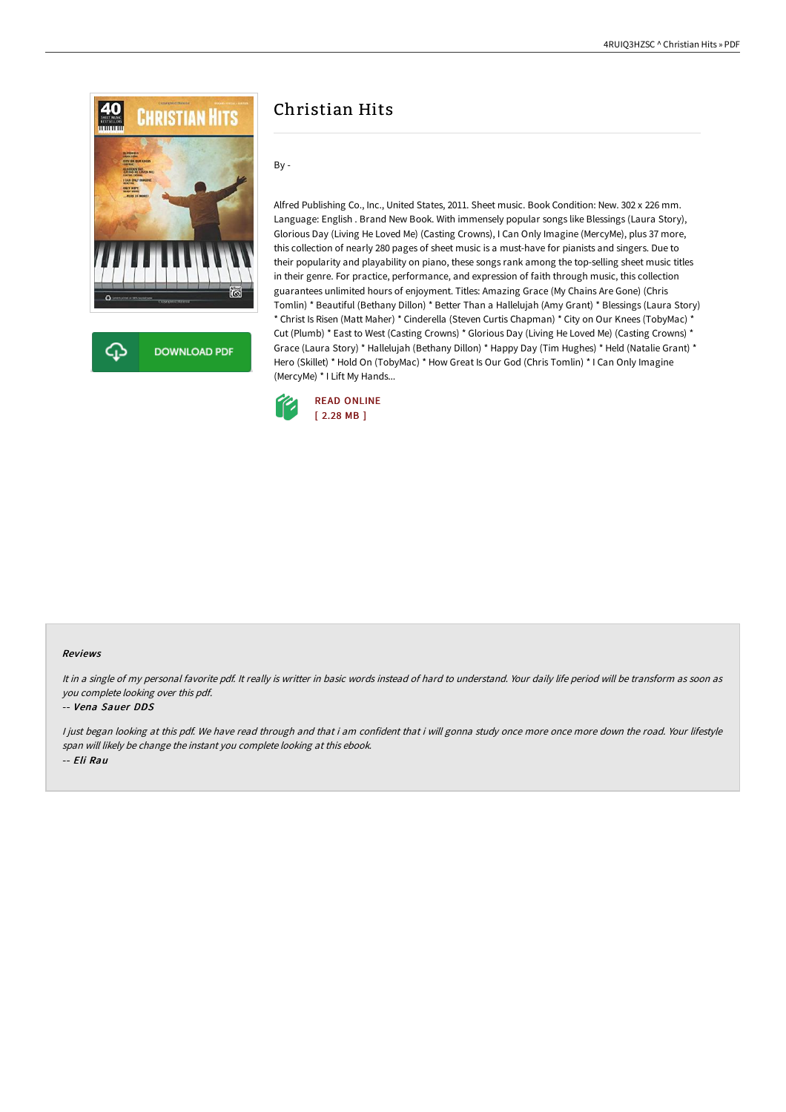

**DOWNLOAD PDF** 

# Christian Hits

By -

Alfred Publishing Co., Inc., United States, 2011. Sheet music. Book Condition: New. 302 x 226 mm. Language: English . Brand New Book. With immensely popular songs like Blessings (Laura Story), Glorious Day (Living He Loved Me) (Casting Crowns), I Can Only Imagine (MercyMe), plus 37 more, this collection of nearly 280 pages of sheet music is a must-have for pianists and singers. Due to their popularity and playability on piano, these songs rank among the top-selling sheet music titles in their genre. For practice, performance, and expression of faith through music, this collection guarantees unlimited hours of enjoyment. Titles: Amazing Grace (My Chains Are Gone) (Chris Tomlin) \* Beautiful (Bethany Dillon) \* Better Than a Hallelujah (Amy Grant) \* Blessings (Laura Story) \* Christ Is Risen (Matt Maher) \* Cinderella (Steven Curtis Chapman) \* City on Our Knees (TobyMac) \* Cut (Plumb) \* East to West (Casting Crowns) \* Glorious Day (Living He Loved Me) (Casting Crowns) \* Grace (Laura Story) \* Hallelujah (Bethany Dillon) \* Happy Day (Tim Hughes) \* Held (Natalie Grant) \* Hero (Skillet) \* Hold On (TobyMac) \* How Great Is Our God (Chris Tomlin) \* I Can Only Imagine (MercyMe) \* I Lift My Hands...



## Reviews

It in <sup>a</sup> single of my personal favorite pdf. It really is writter in basic words instead of hard to understand. Your daily life period will be transform as soon as you complete looking over this pdf.

#### -- Vena Sauer DDS

I just began looking at this pdf. We have read through and that i am confident that i will gonna study once more once more down the road. Your lifestyle span will likely be change the instant you complete looking at this ebook. -- Eli Rau